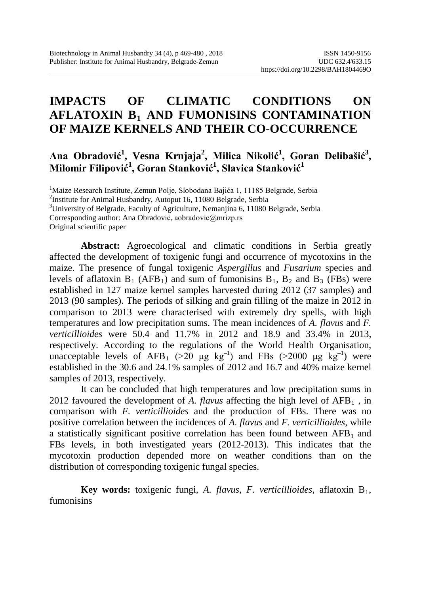# **IMPACTS OF CLIMATIC CONDITIONS ON AFLATOXIN B1 AND FUMONISINS CONTAMINATION OF MAIZE KERNELS AND THEIR CO-OCCURRENCE**

## Ana Obradović<sup>1</sup>, Vesna Krnjaja<sup>2</sup>, Milica Nikolić<sup>1</sup>, Goran Delibašić<sup>3</sup>, **Milomir Filipović<sup>1</sup> , Goran Stanković<sup>1</sup> , Slavica Stanković<sup>1</sup>**

<sup>1</sup>Maize Research Institute, Zemun Polje, Slobodana Bajića 1, 11185 Belgrade, Serbia<br><sup>2</sup>Institute for Animal Husbandry, Autoput 16, 11080 Belgrade, Serbia  $2$ Institute for Animal Husbandry, Autoput 16, 11080 Belgrade, Serbia <sup>3</sup>University of Belgrade, Faculty of Agriculture, Nemanjina 6, 11080 Belgrade, Serbia Corresponding author: Ana Obradović, aobradovic@mrizp.rs Original scientific paper

**Abstract:** Agroecological and climatic conditions in Serbia greatly affected the development of toxigenic fungi and occurrence of mycotoxins in the maize. The presence of fungal toxigenic *Aspergillus* and *Fusarium* species and levels of aflatoxin  $B_1$  (AFB<sub>1</sub>) and sum of fumonisins  $B_1$ ,  $B_2$  and  $B_3$  (FBs) were established in 127 maize kernel samples harvested during 2012 (37 samples) and 2013 (90 samples). The periods of silking and grain filling of the maize in 2012 in comparison to 2013 were characterised with extremely dry spells, with high temperatures and low precipitation sums. The mean incidences of *A. flavus* and *F. verticillioides* were 50.4 and 11.7% in 2012 and 18.9 and 33.4% in 2013, respectively. According to the regulations of the World Health Organisation, unacceptable levels of AFB<sub>1</sub> (>20  $\mu$ g kg<sup>-1</sup>) and FBs (>2000  $\mu$ g kg<sup>-1</sup>) were established in the 30.6 and 24.1% samples of 2012 and 16.7 and 40% maize kernel samples of 2013, respectively.

It can be concluded that high temperatures and low precipitation sums in 2012 favoured the development of *A. flavus* affecting the high level of  $AFB<sub>1</sub>$ , in comparison with *F. verticillioides* and the production of FBs. There was no positive correlation between the incidences of *A. flavus* and *F. verticillioides*, while a statistically significant positive correlation has been found between  $AFB<sub>1</sub>$  and FBs levels, in both investigated years (2012-2013). This indicates that the mycotoxin production depended more on weather conditions than on the distribution of corresponding toxigenic fungal species.

**Key words:** toxigenic fungi, *A. flavus*, *F. verticillioides*, aflatoxin B1, fumonisins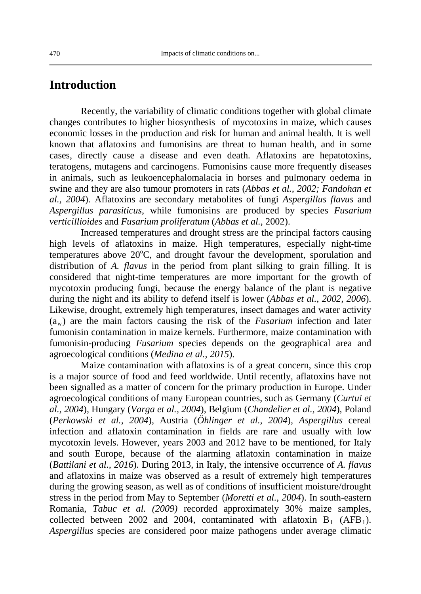### **Introduction**

Recently, the variability of climatic conditions together with global climate changes contributes to higher biosynthesis of mycotoxins in maize, which causes economic losses in the production and risk for human and animal health. It is well known that aflatoxins and fumonisins are threat to human health, and in some cases, directly cause a disease and even death. Aflatoxins are hepatotoxins, teratogens, mutagens and carcinogens. Fumonisins cause more frequently diseases in animals, such as leukoencephalomalacia in horses and pulmonary oedema in swine and they are also tumour promoters in rats (*Abbas et al., 2002; Fandohan et al., 2004*). Aflatoxins are secondary metabolites of fungi *Aspergillus flavus* and *Aspergillus parasiticus*, while fumonisins are produced by species *Fusarium verticillioides* and *Fusarium proliferatum* (*Abbas et al.,* 2002).

Increased temperatures and drought stress are the principal factors causing high levels of aflatoxins in maize. High temperatures, especially night-time temperatures above 20°C, and drought favour the development, sporulation and distribution of *A. flavus* in the period from plant silking to grain filling. It is considered that night-time temperatures are more important for the growth of mycotoxin producing fungi, because the energy balance of the plant is negative during the night and its ability to defend itself is lower (*Abbas et al., 2002, 2006*). Likewise, drought, extremely high temperatures, insect damages and water activity (aw) are the main factors causing the risk of the *Fusarium* infection and later fumonisin contamination in maize kernels. Furthermore, maize contamination with fumonisin-producing *Fusarium* species depends on the geographical area and agroecological conditions (*Medina et al., 2015*).

Maize contamination with aflatoxins is of a great concern, since this crop is a major source of food and feed worldwide. Until recently, aflatoxins have not been signalled as a matter of concern for the primary production in Europe. Under agroecological conditions of many European countries, such as Germany (*Curtui et al., 2004*), Hungary (*Varga et al., 2004*), Belgium (*Chandelier et al., 2004*), Poland (*Perkowski et al., 2004*), Austria (*Öhlinger et al., 2004*), *Aspergillus* cereal infection and aflatoxin contamination in fields are rare and usually with low mycotoxin levels. However, years 2003 and 2012 have to be mentioned, for Italy and south Europe, because of the alarming aflatoxin contamination in maize (*Battilani et al., 2016*). During 2013, in Italy, the intensive occurrence of *A. flavus* and aflatoxins in maize was observed as a result of extremely high temperatures during the growing season, as well as of conditions of insufficient moisture/drought stress in the period from May to September (*Moretti et al., 2004*). In south-eastern Romania, *Tabuc et al. (2009)* recorded approximately 30% maize samples, collected between 2002 and 2004, contaminated with aflatoxin  $B_1$  (AFB<sub>1</sub>). *Aspergillus* species are considered poor maize pathogens under average climatic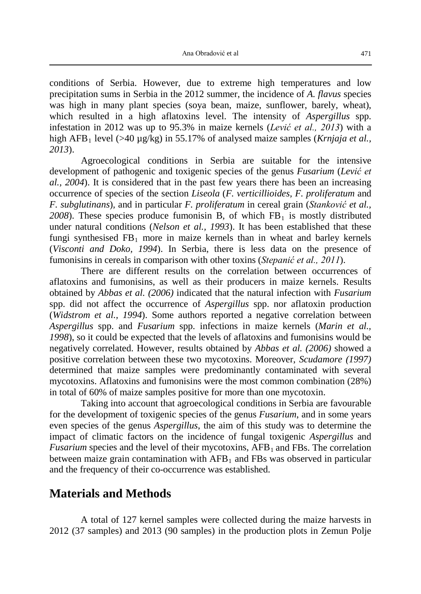conditions of Serbia. However, due to extreme high temperatures and low precipitation sums in Serbia in the 2012 summer, the incidence of *A. flavus* species was high in many plant species (soya bean, maize, sunflower, barely, wheat), which resulted in a high aflatoxins level. The intensity of *Aspergillus* spp. infestation in 2012 was up to 95.3% in maize kernels (*Lević et al., 2013*) with a high AFB<sub>1</sub> level (>40  $\mu$ g/kg) in 55.17% of analysed maize samples (*Krnjaja et al.*, *2013*).

Agroecological conditions in Serbia are suitable for the intensive development of pathogenic and toxigenic species of the genus *Fusarium* (*Lević et al., 2004*). It is considered that in the past few years there has been an increasing occurrence of species of the section *Liseola* (*F. verticillioides, F. proliferatum* and *F. subglutinans*)*,* and in particular *F. proliferatum* in cereal grain (*Stanković et al.,*   $2008$ ). These species produce fumonisin B, of which  $FB<sub>1</sub>$  is mostly distributed under natural conditions (*Nelson et al., 1993*). It has been established that these fungi synthesised  $FB_1$  more in maize kernels than in wheat and barley kernels (*Visconti and Doko, 1994*). In Serbia, there is less data on the presence of fumonisins in cereals in comparison with other toxins (*Stepanić et al., 2011*).

There are different results on the correlation between occurrences of aflatoxins and fumonisins, as well as their producers in maize kernels. Results obtained by *Abbas et al. (2006)* indicated that the natural infection with *Fusarium* spp. did not affect the occurrence of *Aspergillus* spp. nor aflatoxin production (*Widstrom et al., 1994*). Some authors reported a negative correlation between *Aspergillus* spp. and *Fusarium* spp. infections in maize kernels (*Marin et al., 1998*), so it could be expected that the levels of aflatoxins and fumonisins would be negatively correlated. However, results obtained by *Abbas et al. (2006)* showed a positive correlation between these two mycotoxins. Moreover, *Scudamore (1997)* determined that maize samples were predominantly contaminated with several mycotoxins. Aflatoxins and fumonisins were the most common combination (28%) in total of 60% of maize samples positive for more than one mycotoxin.

Taking into account that agroecological conditions in Serbia are favourable for the development of toxigenic species of the genus *Fusarium*, and in some years even species of the genus *Aspergillus*, the aim of this study was to determine the impact of climatic factors on the incidence of fungal toxigenic *Aspergillus* and *Fusarium* species and the level of their mycotoxins,  $\overline{APB_1}$  and  $\overline{FB_2}$ . The correlation between maize grain contamination with  $AFB<sub>1</sub>$  and FBs was observed in particular and the frequency of their co-occurrence was established.

### **Materials and Methods**

A total of 127 kernel samples were collected during the maize harvests in 2012 (37 samples) and 2013 (90 samples) in the production plots in Zemun Polje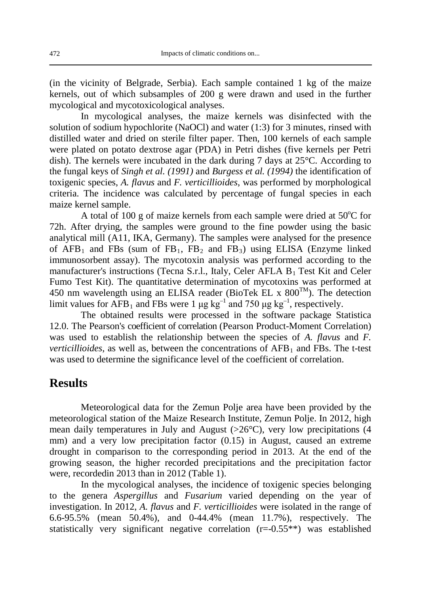(in the vicinity of Belgrade, Serbia). Each sample contained 1 kg of the maize kernels, out of which subsamples of 200 g were drawn and used in the further mycological and mycotoxicological analyses.

In mycological analyses, the maize kernels was disinfected with the solution of sodium hypochlorite (NaOCl) and water (1:3) for 3 minutes, rinsed with distilled water and dried on sterile filter paper. Then, 100 kernels of each sample were plated on potato dextrose agar (PDA) in Petri dishes (five kernels per Petri dish). The kernels were incubated in the dark during 7 days at 25°C. According to the fungal keys of *Singh et al. (1991)* and *Burgess et al. (1994)* the identification of toxigenic species, *A. flavus* and *F. verticillioides*, was performed by morphological criteria. The incidence was calculated by percentage of fungal species in each maize kernel sample.

A total of 100 g of maize kernels from each sample were dried at  $50^{\circ}$ C for 72h. After drying, the samples were ground to the fine powder using the basic analytical mill (A11, IKA, Germany). The samples were analysed for the presence of  $AFB_1$  and FBs (sum of FB<sub>1</sub>, FB<sub>2</sub> and FB<sub>3</sub>) using ELISA (Enzyme linked immunosorbent assay). The mycotoxin analysis was performed according to the manufacturer's instructions (Tecna S.r.l., Italy, Celer AFLA  $B_1$  Test Kit and Celer Fumo Test Kit). The quantitative determination of mycotoxins was performed at 450 nm wavelength using an ELISA reader (BioTek EL x  $800^{TM}$ ). The detection limit values for AFB<sub>1</sub> and FBs were 1  $\mu$ g kg<sup>-1</sup> and 750  $\mu$ g kg<sup>-1</sup>, respectively.

The obtained results were processed in the software package Statistica 12.0. The Pearson's coefficient of correlation (Pearson Product-Moment Correlation) was used to establish the relationship between the species of *A. flavus* and *F. verticillioides*, as well as, between the concentrations of  $AFB<sub>1</sub>$  and FBs. The t-test was used to determine the significance level of the coefficient of correlation.

### **Results**

Meteorological data for the Zemun Polje area have been provided by the meteorological station of the Maize Research Institute, Zemun Polje. In 2012, high mean daily temperatures in July and August  $(>26^{\circ}C)$ , very low precipitations (4) mm) and a very low precipitation factor (0.15) in August, caused an extreme drought in comparison to the corresponding period in 2013. At the end of the growing season, the higher recorded precipitations and the precipitation factor were, recordedin 2013 than in 2012 (Table 1).

In the mycological analyses, the incidence of toxigenic species belonging to the genera *Aspergillus* and *Fusarium* varied depending on the year of investigation. In 2012, *A. flavus* and *F. verticillioides* were isolated in the range of 6.6-95.5% (mean 50.4%), and 0-44.4% (mean 11.7%), respectively. The statistically very significant negative correlation (r=-0.55\*\*) was established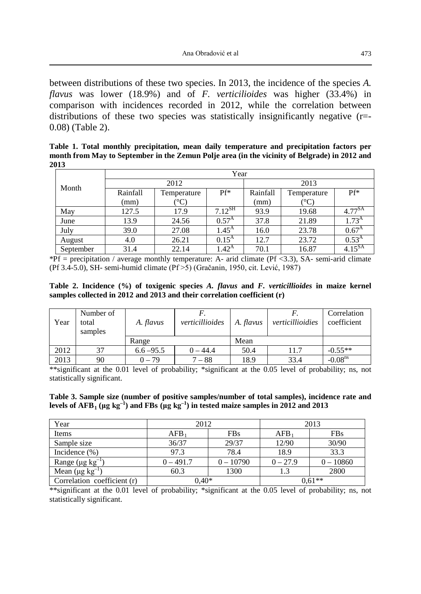between distributions of these two species. In 2013, the incidence of the species *A. flavus* was lower (18.9%) and of *F. verticilioides* was higher (33.4%) in comparison with incidences recorded in 2012, while the correlation between distributions of these two species was statistically insignificantly negative (r=- 0.08) (Table 2).

**Table 1. Total monthly precipitation, mean daily temperature and precipitation factors per month from May to September in the Zemun Polje area (in the vicinity of Belgrade) in 2012 and 2013**

|           | Year     |               |                |          |                      |                   |  |
|-----------|----------|---------------|----------------|----------|----------------------|-------------------|--|
| Month     | 2012     |               |                | 2013     |                      |                   |  |
|           | Rainfall | Temperature   | Pf*            | Rainfall | Temperature          | Pf*               |  |
|           | (mm)     | $^{\circ}C$ ) |                | (mm)     | $^{\circ}\mathrm{C}$ |                   |  |
| May       | 127.5    | 17.9          | $7.12^{SH}$    | 93.9     | 19.68                | $4.77^{SA}$       |  |
| June      | 13.9     | 24.56         | $0.57^{A}$     | 37.8     | 21.89                | 1.73 <sup>A</sup> |  |
| July      | 39.0     | 27.08         | $1.45^{\rm A}$ | 16.0     | 23.78                | 0.67 <sup>A</sup> |  |
| August    | 4.0      | 26.21         | $0.15^{A}$     | 12.7     | 23.72                | $0.53^{A}$        |  |
| September | 31.4     | 22.14         | $1.42^{\rm A}$ | 70.1     | 16.87                | $4.15^{SA}$       |  |

 $*Pf$  = precipitation / average monthly temperature: A- arid climate (Pf <3.3), SA- semi-arid climate (Pf 3.4-5.0), SH- semi-humid climate (Pf >5) (Gračanin, 1950, cit. Lević, 1987)

**Table 2. Incidence (%) of toxigenic species** *A. flavus* **and** *F. verticillioides* **in maize kernel samples collected in 2012 and 2013 and their correlation coefficient (r)**

| Year | Number of<br>total<br>samples | A. flavus    | verticillioides | A. flavus | verticillioidies | Correlation<br>coefficient |
|------|-------------------------------|--------------|-----------------|-----------|------------------|----------------------------|
|      |                               | Range        |                 | Mean      |                  |                            |
| 2012 | 37                            | $6.6 - 95.5$ | $0 - 44.4$      | 50.4      | 11.7             | $-0.55**$                  |
| 2013 | 90                            | $0 - 79$     | $7 - 88$        | 18.9      | 33.4             | $-0.08$ <sup>ns</sup>      |

\*\*significant at the 0.01 level of probability; \*significant at the 0.05 level of probability; ns, not statistically significant.

| Table 3. Sample size (number of positive samples/number of total samples), incidence rate and                             |  |
|---------------------------------------------------------------------------------------------------------------------------|--|
| levels of AFB <sub>1</sub> (µg kg <sup>-1</sup> ) and FBs (µg kg <sup>-1</sup> ) in tested maize samples in 2012 and 2013 |  |

| Year                             | 2012        |             | 2013       |             |  |
|----------------------------------|-------------|-------------|------------|-------------|--|
| Items                            | AFB         | <b>FBs</b>  | $AFB_1$    | <b>FBs</b>  |  |
| Sample size                      | 36/37       | 29/37       | 12/90      | 30/90       |  |
| Incidence $(\% )$                | 97.3        | 78.4        | 18.9       | 33.3        |  |
| Range ( $\mu$ g kg <sup>-1</sup> | $0 - 491.7$ | $0 - 10790$ | $0 - 27.9$ | $0 - 10860$ |  |
| Mean ( $\mu$ g kg <sup>-1</sup>  | 60.3        | 1300        | 1.3        | 2800        |  |
| Correlation coefficient (r)      | $0.40*$     |             | $0.61**$   |             |  |

\*\*significant at the 0.01 level of probability; \*significant at the 0.05 level of probability; ns, not statistically significant.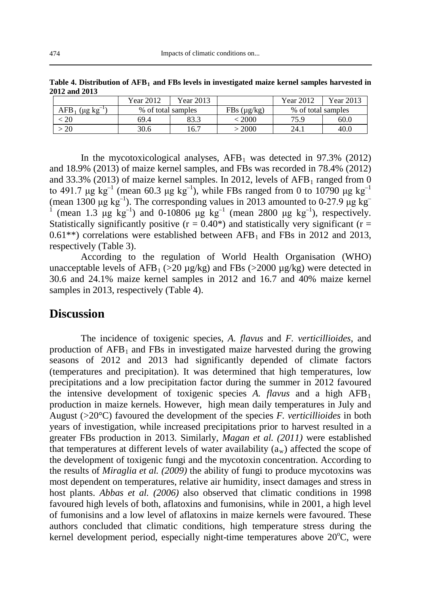|                            | Year 2012          | Year 2013 |                  | Year 2012          | Year 2013 |
|----------------------------|--------------------|-----------|------------------|--------------------|-----------|
| AFB<br>$(\mu g \ kg^{-1})$ | % of total samples |           | FBs $(\mu g/kg)$ | % of total samples |           |
| 20                         | 69.4               | 83.3      | $\lesssim$ 2000  | 75.9               | 60.0      |
| 20                         | 30.6               | 16.7      | > 2000           | 24.1               | 40.0      |

Table 4. Distribution of AFB<sub>1</sub> and FBs levels in investigated maize kernel samples harvested in **2012 and 2013**

In the mycotoxicological analyses,  $AFB<sub>1</sub>$  was detected in 97.3% (2012) and 18.9% (2013) of maize kernel samples, and FBs was recorded in 78.4% (2012) and 33.3% (2013) of maize kernel samples. In 2012, levels of  $AFB_1$  ranged from 0 to 491.7 μg kg<sup>-1</sup> (mean 60.3 μg kg<sup>-1</sup>), while FBs ranged from 0 to 10790 μg kg<sup>-1</sup> (mean 1300  $\mu$ g kg<sup>-1</sup>). The corresponding values in 2013 amounted to 0-27.9  $\mu$ g kg<sup>-1</sup> <sup>1</sup> (mean 1.3  $\mu$ g kg<sup>-1</sup>) and 0-10806  $\mu$ g kg<sup>-1</sup> (mean 2800  $\mu$ g kg<sup>-1</sup>), respectively. Statistically significantly positive ( $r = 0.40^*$ ) and statistically very significant ( $r =$  $0.61**$ ) correlations were established between AFB<sub>1</sub> and FBs in 2012 and 2013, respectively (Table 3).

According to the regulation of World Health Organisation (WHO) unacceptable levels of AFB<sub>1</sub> ( $>20 \mu$ g/kg) and FBs ( $>2000 \mu$ g/kg) were detected in 30.6 and 24.1% maize kernel samples in 2012 and 16.7 and 40% maize kernel samples in 2013, respectively (Table 4).

#### **Discussion**

The incidence of toxigenic species, *A. flavus* and *F. verticillioides*, and production of  $AFB<sub>1</sub>$  and FBs in investigated maize harvested during the growing seasons of 2012 and 2013 had significantly depended of climate factors (temperatures and precipitation). It was determined that high temperatures, low precipitations and a low precipitation factor during the summer in 2012 favoured the intensive development of toxigenic species  $A$ . *flavus* and a high  $AFB<sub>1</sub>$ production in maize kernels. However, high mean daily temperatures in July and August (>20°C) favoured the development of the species *F. verticillioides* in both years of investigation, while increased precipitations prior to harvest resulted in a greater FBs production in 2013. Similarly, *Magan et al. (2011)* were established that temperatures at different levels of water availability  $(a_w)$  affected the scope of the development of toxigenic fungi and the mycotoxin concentration. According to the results of *Miraglia et al. (2009)* the ability of fungi to produce mycotoxins was most dependent on temperatures, relative air humidity, insect damages and stress in host plants. *Abbas et al. (2006)* also observed that climatic conditions in 1998 favoured high levels of both, aflatoxins and fumonisins, while in 2001, a high level of fumonisins and a low level of aflatoxins in maize kernels were favoured. These authors concluded that climatic conditions, high temperature stress during the kernel development period, especially night-time temperatures above 20°C, were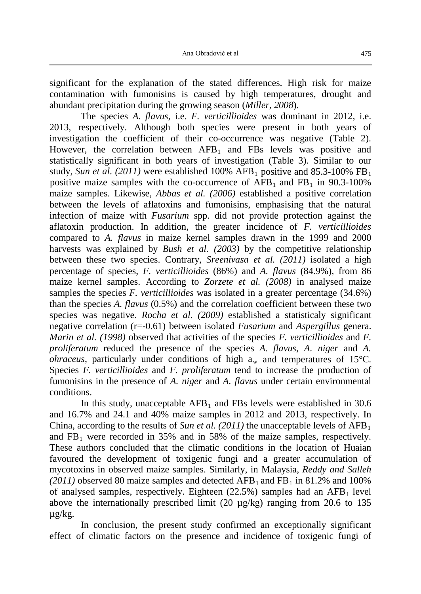significant for the explanation of the stated differences. High risk for maize contamination with fumonisins is caused by high temperatures, drought and abundant precipitation during the growing season (*Miller, 2008*).

The species *A. flavus*, i.e. *F. verticillioides* was dominant in 2012, i.e. 2013, respectively. Although both species were present in both years of investigation the coefficient of their co-occurrence was negative (Table 2). However, the correlation between  $AFB_1$  and FBs levels was positive and statistically significant in both years of investigation (Table 3). Similar to our study, *Sun et al.* (2011) were established  $100\%$  AFB<sub>1</sub> positive and 85.3-100% FB<sub>1</sub> positive maize samples with the co-occurrence of  $AFB<sub>1</sub>$  and  $FB<sub>1</sub>$  in 90.3-100% maize samples. Likewise, *Abbas et al. (2006)* established a positive correlation between the levels of aflatoxins and fumonisins, emphasising that the natural infection of maize with *Fusarium* spp. did not provide protection against the aflatoxin production. In addition, the greater incidence of *F. verticillioides* compared to *A. flavus* in maize kernel samples drawn in the 1999 and 2000 harvests was explained by *Bush et al. (2003)* by the competitive relationship between these two species. Contrary, *Sreenivasa et al. (2011)* isolated a high percentage of species, *F. verticillioides* (86%) and *A. flavus* (84.9%), from 86 maize kernel samples. According to *Zorzete et al. (2008)* in analysed maize samples the species *F. verticillioides* was isolated in a greater percentage (34.6%) than the species *A. flavus* (0.5%) and the correlation coefficient between these two species was negative. *Rocha et al. (2009)* established a statisticaly significant negative correlation (r=-0.61) between isolated *Fusarium* and *Aspergillus* genera. *Marin et al. (1998)* observed that activities of the species *F. verticillioides* and *F. proliferatum* reduced the presence of the species *A. flavus*, *A. niger* and *A. ohraceus*, particularly under conditions of high  $a_w$  and temperatures of 15<sup>o</sup>C. Species *F. verticillioides* and *F. proliferatum* tend to increase the production of fumonisins in the presence of *A. niger* and *A. flavus* under certain environmental conditions.

In this study, unacceptable  $AFB<sub>1</sub>$  and FBs levels were established in 30.6 and 16.7% and 24.1 and 40% maize samples in 2012 and 2013, respectively. In China, according to the results of *Sun et al.* (2011) the unacceptable levels of  $AFB_1$ and  $FB<sub>1</sub>$  were recorded in 35% and in 58% of the maize samples, respectively. These authors concluded that the climatic conditions in the location of Huaian favoured the development of toxigenic fungi and a greater accumulation of mycotoxins in observed maize samples. Similarly, in Malaysia, *Reddy and Salleh*   $(2011)$  observed 80 maize samples and detected AFB<sub>1</sub> and FB<sub>1</sub> in 81.2% and 100% of analysed samples, respectively. Eighteen  $(22.5%)$  samples had an AFB<sub>1</sub> level above the internationally prescribed limit (20 µg/kg) ranging from 20.6 to 135 µg/kg.

In conclusion, the present study confirmed an exceptionally significant effect of climatic factors on the presence and incidence of toxigenic fungi of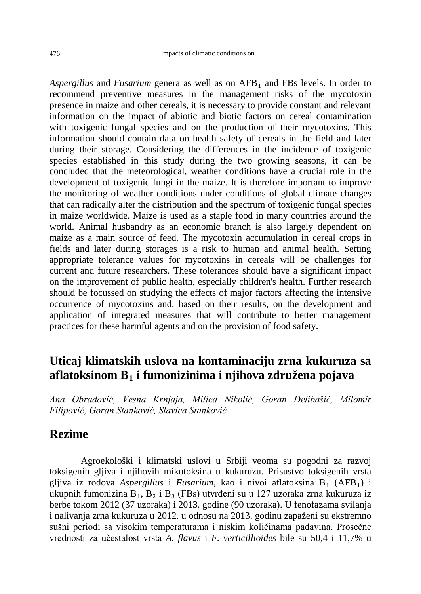*Aspergillus* and *Fusarium* genera as well as on AFB1 and FBs levels. In order to recommend preventive measures in the management risks of the mycotoxin presence in maize and other cereals, it is necessary to provide constant and relevant information on the impact of abiotic and biotic factors on cereal contamination with toxigenic fungal species and on the production of their mycotoxins. This information should contain data on health safety of cereals in the field and later during their storage. Considering the differences in the incidence of toxigenic species established in this study during the two growing seasons, it can be concluded that the meteorological, weather conditions have a crucial role in the development of toxigenic fungi in the maize. It is therefore important to improve the monitoring of weather conditions under conditions of global climate changes that can radically alter the distribution and the spectrum of toxigenic fungal species in maize worldwide. Maize is used as a staple food in many countries around the world. Animal husbandry as an economic branch is also largely dependent on maize as a main source of feed. The mycotoxin accumulation in cereal crops in fields and later during storages is a risk to human and animal health. Setting appropriate tolerance values for mycotoxins in cereals will be challenges for current and future researchers. These tolerances should have a significant impact on the improvement of public health, especially children's health. Further research should be focussed on studying the effects of major factors affecting the intensive occurrence of mycotoxins and, based on their results, on the development and application of integrated measures that will contribute to better management practices for these harmful agents and on the provision of food safety.

## **Uticaj klimatskih uslova na kontaminaciju zrna kukuruza sa aflatoksinom B1 i fumonizinima i njihova združena pojava**

*Ana Obradović, Vesna Krnjaja, Milica Nikolić, Goran Delibašić, Milomir Filipović, Goran Stanković, Slavica Stanković*

### **Rezime**

Agroekološki i klimatski uslovi u Srbiji veoma su pogodni za razvoj toksigenih gljiva i njihovih mikotoksina u kukuruzu. Prisustvo toksigenih vrsta gljiva iz rodova Aspergillus i *Fusarium*, kao i nivoi aflatoksina B<sub>1</sub> (AFB<sub>1</sub>) i ukupnih fumonizina  $B_1$ ,  $B_2$  i  $B_3$  (FBs) utvrđeni su u 127 uzoraka zrna kukuruza iz berbe tokom 2012 (37 uzoraka) i 2013. godine (90 uzoraka). U fenofazama svilanja i nalivanja zrna kukuruza u 2012. u odnosu na 2013. godinu zapaženi su ekstremno sušni periodi sa visokim temperaturama i niskim količinama padavina. Prosečne vrednosti za učestalost vrsta *A. flavus* i *F. verticillioides* bile su 50,4 i 11,7% u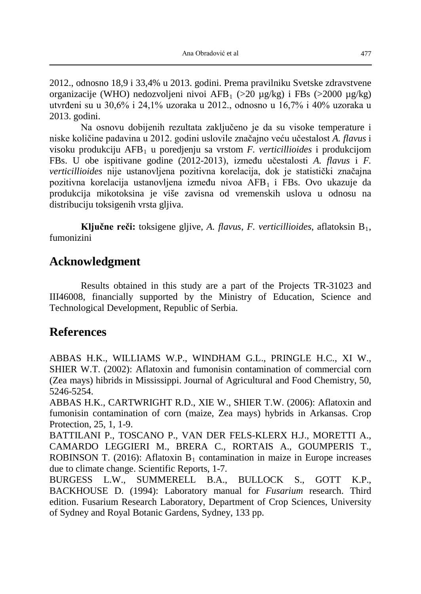2012., odnosno 18,9 i 33,4% u 2013. godini. Prema pravilniku Svetske zdravstvene organizacije (WHO) nedozvoljeni nivoi AFB<sub>1</sub> (>20 µg/kg) i FBs (>2000 µg/kg) utvrđeni su u 30,6% i 24,1% uzoraka u 2012., odnosno u 16,7% i 40% uzoraka u 2013. godini.

Na osnovu dobijenih rezultata zaključeno je da su visoke temperature i niske količine padavina u 2012. godini uslovile značajno veću učestalost *A. flavus* i visoku produkciju AFB1 u poredjenju sa vrstom *F. verticillioides* i produkcijom FBs. U obe ispitivane godine (2012-2013), između učestalosti *A. flavus* i *F. verticillioides* nije ustanovljena pozitivna korelacija, dok je statistički značajna pozitivna korelacija ustanovljena između nivoa AFB<sub>1</sub> i FBs. Ovo ukazuje da produkcija mikotoksina je više zavisna od vremenskih uslova u odnosu na distribuciju toksigenih vrsta gljiva.

**Ključne reči:** toksigene gljive, *A. flavus*, *F. verticillioides*, aflatoksin B1, fumonizini

## **Acknowledgment**

Results obtained in this study are a part of the Projects TR-31023 and III46008, financially supported by the Ministry of Education, Science and Technological Development, Republic of Serbia.

## **References**

ABBAS H.K., WILLIAMS W.P., WINDHAM G.L., PRINGLE H.C., XI W., SHIER W.T. (2002): Aflatoxin and fumonisin contamination of commercial corn (Zea mays) hibrids in Mississippi. Journal of Agricultural and Food Chemistry, 50, 5246-5254.

ABBAS H.K., CARTWRIGHT R.D., XIE W., SHIER T.W. (2006): Aflatoxin and fumonisin contamination of corn (maize, Zea mays) hybrids in Arkansas. Crop Protection, 25, 1, 1-9.

BATTILANI P., TOSCANO P., VAN DER FELS-KLERX H.J., MORETTI A., CAMARDO LEGGIERI M., BRERA C., RORTAIS A., GOUMPERIS T., ROBINSON T. (2016): Aflatoxin  $B_1$  contamination in maize in Europe increases due to climate change. Scientific Reports, 1-7.

BURGESS L.W., SUMMERELL B.A., BULLOCK S., GOTT K.P., BACKHOUSE D. (1994): Laboratory manual for *Fusarium* research. Third edition. Fusarium Research Laboratory, Department of Crop Sciences, University of Sydney and Royal Botanic Gardens, Sydney, 133 pp.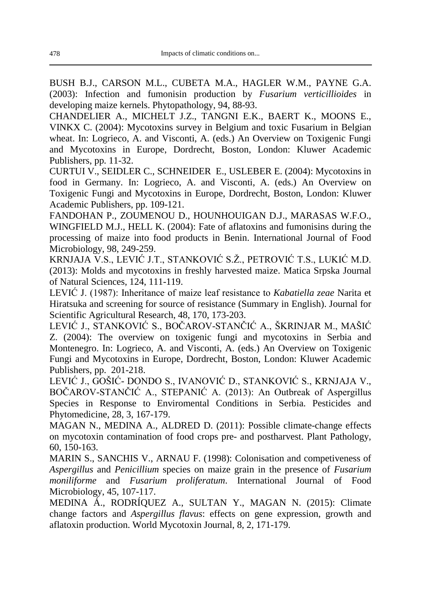BUSH B.J., CARSON M.L., CUBETA M.A., HAGLER W.M., PAYNE G.A. (2003): Infection and fumonisin production by *Fusarium verticillioides* in developing maize kernels. Phytopathology, 94, 88-93.

CHANDELIER A., MICHELT J.Z., TANGNI E.K., BAERT K., MOONS E., VINKX C. (2004): Mycotoxins survey in Belgium and toxic Fusarium in Belgian wheat. In: Logrieco, A. and Visconti, A. (eds.) An Overview on Toxigenic Fungi and Mycotoxins in Europe, Dordrecht, Boston, London: Kluwer Academic Publishers, pp. 11-32.

CURTUI V., SEIDLER C., SCHNEIDER E., USLEBER E. (2004): Mycotoxins in food in Germany. In: Logrieco, A. and Visconti, A. (eds.) An Overview on Toxigenic Fungi and Mycotoxins in Europe, Dordrecht, Boston, London: Kluwer Academic Publishers, pp. 109-121.

FANDOHAN P., ZOUMENOU D., HOUNHOUIGAN D.J., MARASAS W.F.O., WINGFIELD M.J., HELL K. (2004): Fate of aflatoxins and fumonisins during the processing of maize into food products in Benin. International Journal of Food Microbiology, 98, 249-259.

KRNJAJA V.S., LEVIĆ J.T., STANKOVIĆ S.Ž., PETROVIĆ T.S., LUKIĆ M.D. (2013): Molds and mycotoxins in freshly harvested maize. Matica Srpska Journal of Natural Sciences, 124, 111-119.

LEVIĆ J. (1987): Inheritance of maize leaf resistance to *Kabatiella zeae* Narita et Hiratsuka and screening for source of resistance (Summary in English). Journal for Scientific Agricultural Research, 48, 170, 173-203.

LEVIĆ J., STANKOVIĆ S., BOČAROV-STANČIĆ A., ŠKRINJAR M., MAŠIĆ Z. (2004): The overview on toxigenic fungi and mycotoxins in Serbia and Montenegro. In: Logrieco, A. and Visconti, A. (eds.) An Overview on Toxigenic Fungi and Mycotoxins in Europe, Dordrecht, Boston, London: Kluwer Academic Publishers, pp. 201-218.

LEVIĆ J., GOŠIĆ- DONDO S., IVANOVIĆ D., STANKOVIĆ S., KRNJAJA V., BOČAROV-STANČIĆ A., STEPANIĆ A. (2013): An Outbreak of Aspergillus Species in Response to Enviromental Conditions in Serbia. Pesticides and Phytomedicine, 28, 3, 167-179.

MAGAN N., MEDINA A., ALDRED D. (2011): Possible climate-change effects on mycotoxin contamination of food crops pre- and postharvest. Plant Pathology, 60, 150-163.

MARIN S., SANCHIS V., ARNAU F. (1998): Colonisation and competiveness of *Aspergillus* and *Penicillium* species on maize grain in the presence of *Fusarium moniliforme* and *Fusarium proliferatum*. International Journal of Food Microbiology, 45, 107-117.

MEDINA Á., RODRÍQUEZ A., SULTAN Y., MAGAN N. (2015): Climate change factors and *Aspergillus flavus*: effects on gene expression, growth and aflatoxin production. World Mycotoxin Journal, 8, 2, 171-179.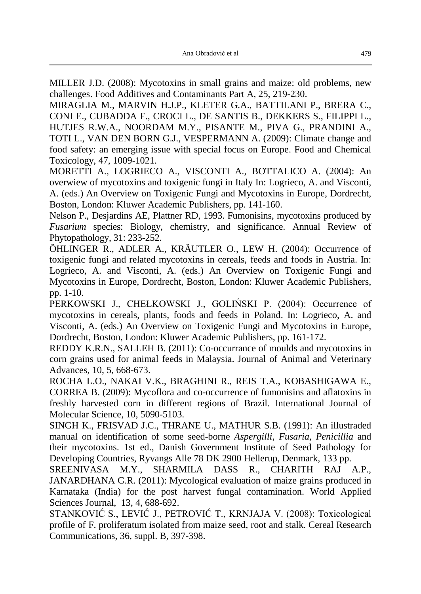MILLER J.D. (2008): Mycotoxins in small grains and maize: old problems, new challenges. Food Additives and Contaminants Part A, 25, 219-230.

MIRAGLIA M., MARVIN H.J.P., KLETER G.A., BATTILANI P., BRERA C., CONI E., CUBADDA F., CROCI L., DE SANTIS B., DEKKERS S., FILIPPI L., HUTJES R.W.A., NOORDAM M.Y., PISANTE M., PIVA G., PRANDINI A., TOTI L., VAN DEN BORN G.J., VESPERMANN A. (2009): Climate change and food safety: an emerging issue with special focus on Europe. Food and Chemical Toxicology, 47, 1009-1021.

MORETTI A., LOGRIECO A., VISCONTI A., BOTTALICO A. (2004): An overwiew of mycotoxins and toxigenic fungi in Italy In: Logrieco, A. and Visconti, A. (eds.) An Overview on Toxigenic Fungi and Mycotoxins in Europe, Dordrecht, Boston, London: Kluwer Academic Publishers, pp. 141-160.

Nelson P., Desjardins AE, Plattner RD, 1993. Fumonisins, mycotoxins produced by *Fusarium* species: Biology, chemistry, and significance. Annual Review of Phytopathology, 31: 233-252.

ÖHLINGER R., ADLER A., KRÄUTLER O., LEW H. (2004): Occurrence of toxigenic fungi and related mycotoxins in cereals, feeds and foods in Austria. In: Logrieco, A. and Visconti, A. (eds.) An Overview on Toxigenic Fungi and Mycotoxins in Europe, Dordrecht, Boston, London: Kluwer Academic Publishers, pp. 1-10.

PERKOWSKI J., CHEŁKOWSKI J., GOLIŃSKI P. (2004): Occurrence of mycotoxins in cereals, plants, foods and feeds in Poland. In: Logrieco, A. and Visconti, A. (eds.) An Overview on Toxigenic Fungi and Mycotoxins in Europe, Dordrecht, Boston, London: Kluwer Academic Publishers, pp. 161-172.

REDDY K.R.N., SALLEH B. (2011): Co-occurrance of moulds and mycotoxins in corn grains used for animal feeds in Malaysia. Journal of Animal and Veterinary Advances, 10, 5, 668-673.

ROCHA L.O., NAKAI V.K., BRAGHINI R., REIS T.A., KOBASHIGAWA E., CORREA B. (2009): Mycoflora and co-occurrence of fumonisins and aflatoxins in freshly harvested corn in different regions of Brazil. International Journal of Molecular Science, 10, 5090-5103.

SINGH K., FRISVAD J.C., THRANE U., MATHUR S.B. (1991): An illustraded manual on identification of some seed-borne *Aspergilli*, *Fusaria*, *Penicillia* and their mycotoxins. 1st ed., Danish Government Institute of Seed Pathology for Developing Countries, Ryvangs Alle 78 DK 2900 Hellerup, Denmark, 133 pp.

SREENIVASA M.Y., SHARMILA DASS R., CHARITH RAJ A.P., JANARDHANA G.R. (2011): Mycological evaluation of maize grains produced in Karnataka (India) for the post harvest fungal contamination. World Applied Sciences Journal, 13, 4, 688-692.

STANKOVIĆ S., LEVIĆ J., PETROVIĆ T., KRNJAJA V. (2008): Toxicological profile of F. proliferatum isolated from maize seed, root and stalk. Cereal Research Communications, 36, suppl. B, 397-398.